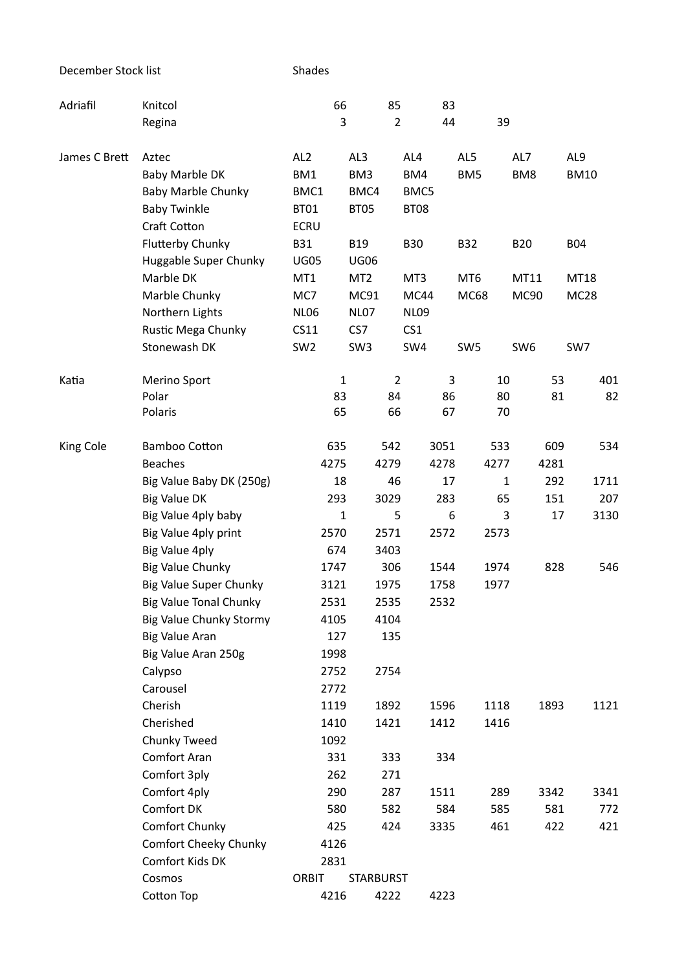December Stock list Shades

| Adriafil      | Knitcol                                 | 66              |                  | 85             |                 | 83              |              |                 |             |
|---------------|-----------------------------------------|-----------------|------------------|----------------|-----------------|-----------------|--------------|-----------------|-------------|
|               | Regina                                  |                 | 3                | $\overline{2}$ |                 | 44              | 39           |                 |             |
| James C Brett | Aztec                                   | AL <sub>2</sub> | AL3              |                | AL4             | AL5             |              | AL7             | AL9         |
|               | Baby Marble DK                          | BM1             | BM3              |                | BM4             | BM <sub>5</sub> |              | BM8             | <b>BM10</b> |
|               | <b>Baby Marble Chunky</b>               | BMC1            | BMC4             |                | BMC5            |                 |              |                 |             |
|               | <b>Baby Twinkle</b>                     | <b>BT01</b>     | BT05             |                | BT08            |                 |              |                 |             |
|               | Craft Cotton                            | <b>ECRU</b>     |                  |                |                 |                 |              |                 |             |
|               | <b>Flutterby Chunky</b>                 | <b>B31</b>      | <b>B19</b>       |                | <b>B30</b>      | <b>B32</b>      |              | <b>B20</b>      | <b>B04</b>  |
|               | Huggable Super Chunky                   | <b>UG05</b>     | <b>UG06</b>      |                |                 |                 |              |                 |             |
|               | Marble DK                               | MT1             | MT <sub>2</sub>  |                | MT3             | MT <sub>6</sub> |              | MT11            | MT18        |
|               | Marble Chunky                           | MC7             | MC91             |                | MC44            | <b>MC68</b>     |              | <b>MC90</b>     | <b>MC28</b> |
|               | Northern Lights                         | <b>NL06</b>     | <b>NL07</b>      |                | <b>NL09</b>     |                 |              |                 |             |
|               | Rustic Mega Chunky                      | CS11            | CS7              |                | CS <sub>1</sub> |                 |              |                 |             |
|               | Stonewash DK                            | SW <sub>2</sub> | SW <sub>3</sub>  |                | SW4             | SW <sub>5</sub> |              | SW <sub>6</sub> | SW7         |
| Katia         | Merino Sport                            |                 | $\mathbf{1}$     | $\overline{2}$ |                 | 3               | 10           | 53              | 401         |
|               | Polar                                   | 83              |                  | 84             |                 | 86              | 80           | 81              | 82          |
|               | Polaris                                 | 65              |                  | 66             |                 | 67              | 70           |                 |             |
| King Cole     | <b>Bamboo Cotton</b>                    | 635             |                  | 542            | 3051            |                 | 533          | 609             | 534         |
|               | <b>Beaches</b>                          | 4275            |                  | 4279           | 4278            |                 | 4277         | 4281            |             |
|               | Big Value Baby DK (250g)                | 18              |                  | 46             |                 | 17              | $\mathbf{1}$ | 292             | 1711        |
|               | <b>Big Value DK</b>                     | 293             |                  | 3029           |                 | 283             | 65           | 151             | 207         |
|               | Big Value 4ply baby                     |                 | $\mathbf{1}$     | 5              |                 | 6               | 3            | 17              | 3130        |
|               | Big Value 4ply print                    | 2570            |                  | 2571           | 2572            |                 | 2573         |                 |             |
|               | Big Value 4ply                          | 674             |                  | 3403           |                 |                 |              |                 |             |
|               | <b>Big Value Chunky</b>                 | 1747            |                  | 306            | 1544            |                 | 1974         | 828             | 546         |
|               | <b>Big Value Super Chunky</b>           | 3121            |                  | 1975           | 1758            |                 | 1977         |                 |             |
|               | <b>Big Value Tonal Chunky</b>           | 2531            |                  | 2535           | 2532            |                 |              |                 |             |
|               | <b>Big Value Chunky Stormy</b>          | 4105            |                  | 4104           |                 |                 |              |                 |             |
|               | <b>Big Value Aran</b>                   | 127             |                  | 135            |                 |                 |              |                 |             |
|               | Big Value Aran 250g                     | 1998            |                  |                |                 |                 |              |                 |             |
|               | Calypso                                 | 2752            |                  | 2754           |                 |                 |              |                 |             |
|               | Carousel                                | 2772            |                  |                |                 |                 |              |                 |             |
|               | Cherish                                 | 1119            |                  | 1892           | 1596            |                 | 1118         | 1893            | 1121        |
|               | Cherished                               | 1410            |                  | 1421           | 1412            |                 | 1416         |                 |             |
|               | Chunky Tweed                            | 1092            |                  |                |                 |                 |              |                 |             |
|               | Comfort Aran                            | 331             |                  | 333            |                 | 334             |              |                 |             |
|               | Comfort 3ply                            | 262             |                  | 271            |                 |                 |              |                 |             |
|               | Comfort 4ply<br>Comfort DK              | 290             |                  | 287            | 1511            |                 | 289          | 3342            | 3341        |
|               |                                         | 580             |                  | 582            |                 | 584             | 585          | 581             | 772         |
|               | Comfort Chunky<br>Comfort Cheeky Chunky | 425             |                  | 424            | 3335            |                 | 461          | 422             | 421         |
|               | Comfort Kids DK                         | 4126<br>2831    |                  |                |                 |                 |              |                 |             |
|               | Cosmos                                  | <b>ORBIT</b>    | <b>STARBURST</b> |                |                 |                 |              |                 |             |
|               | Cotton Top                              | 4216            |                  | 4222           | 4223            |                 |              |                 |             |
|               |                                         |                 |                  |                |                 |                 |              |                 |             |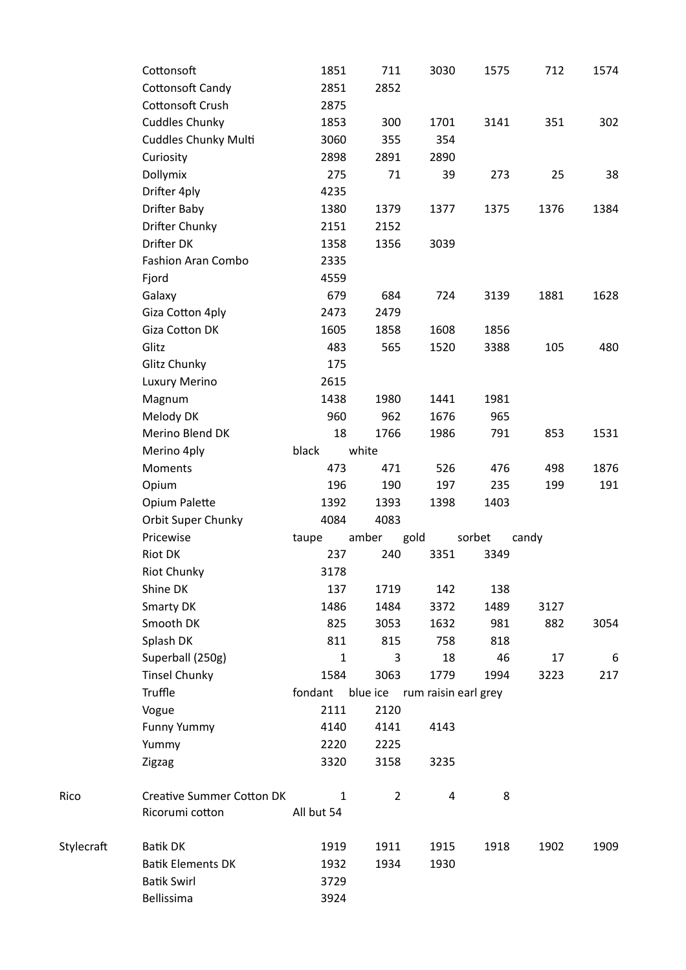|            | Cottonsoft                       | 1851         | 711            | 3030                 | 1575   | 712   | 1574 |
|------------|----------------------------------|--------------|----------------|----------------------|--------|-------|------|
|            | Cottonsoft Candy                 | 2851         | 2852           |                      |        |       |      |
|            | Cottonsoft Crush                 | 2875         |                |                      |        |       |      |
|            | <b>Cuddles Chunky</b>            | 1853         | 300            | 1701                 | 3141   | 351   | 302  |
|            | <b>Cuddles Chunky Multi</b>      | 3060         | 355            | 354                  |        |       |      |
|            | Curiosity                        | 2898         | 2891           | 2890                 |        |       |      |
|            | Dollymix                         | 275          | 71             | 39                   | 273    | 25    | 38   |
|            | Drifter 4ply                     | 4235         |                |                      |        |       |      |
|            | <b>Drifter Baby</b>              | 1380         | 1379           | 1377                 | 1375   | 1376  | 1384 |
|            | Drifter Chunky                   | 2151         | 2152           |                      |        |       |      |
|            | Drifter DK                       | 1358         | 1356           | 3039                 |        |       |      |
|            | Fashion Aran Combo               | 2335         |                |                      |        |       |      |
|            | Fjord                            | 4559         |                |                      |        |       |      |
|            | Galaxy                           | 679          | 684            | 724                  | 3139   | 1881  | 1628 |
|            | Giza Cotton 4ply                 | 2473         | 2479           |                      |        |       |      |
|            | Giza Cotton DK                   | 1605         | 1858           | 1608                 | 1856   |       |      |
|            | Glitz                            | 483          | 565            | 1520                 | 3388   | 105   | 480  |
|            | Glitz Chunky                     | 175          |                |                      |        |       |      |
|            | Luxury Merino                    | 2615         |                |                      |        |       |      |
|            | Magnum                           | 1438         | 1980           | 1441                 | 1981   |       |      |
|            | Melody DK                        | 960          | 962            | 1676                 | 965    |       |      |
|            | Merino Blend DK                  | 18           | 1766           | 1986                 | 791    | 853   | 1531 |
|            | Merino 4ply                      | black        | white          |                      |        |       |      |
|            | Moments                          | 473          | 471            | 526                  | 476    | 498   | 1876 |
|            | Opium                            | 196          | 190            | 197                  | 235    | 199   | 191  |
|            | Opium Palette                    | 1392         | 1393           | 1398                 | 1403   |       |      |
|            | Orbit Super Chunky               | 4084         | 4083           |                      |        |       |      |
|            | Pricewise                        | taupe        | amber          | gold                 | sorbet | candy |      |
|            | Riot DK                          | 237          | 240            | 3351                 | 3349   |       |      |
|            | <b>Riot Chunky</b>               | 3178         |                |                      |        |       |      |
|            | Shine DK                         | 137          | 1719           | 142                  | 138    |       |      |
|            | Smarty DK                        | 1486         | 1484           | 3372                 | 1489   | 3127  |      |
|            | Smooth DK                        | 825          | 3053           | 1632                 | 981    | 882   | 3054 |
|            | Splash DK                        | 811          | 815            | 758                  | 818    |       |      |
|            | Superball (250g)                 | $\mathbf{1}$ | 3              | 18                   | 46     | 17    | 6    |
|            | <b>Tinsel Chunky</b>             | 1584         | 3063           | 1779                 | 1994   | 3223  | 217  |
|            | Truffle                          | fondant      | blue ice       | rum raisin earl grey |        |       |      |
|            | Vogue                            | 2111         | 2120           |                      |        |       |      |
|            | <b>Funny Yummy</b>               | 4140         | 4141           | 4143                 |        |       |      |
|            | Yummy                            | 2220         | 2225           |                      |        |       |      |
|            | Zigzag                           | 3320         | 3158           | 3235                 |        |       |      |
| Rico       | <b>Creative Summer Cotton DK</b> | $\mathbf{1}$ | $\overline{2}$ | 4                    | 8      |       |      |
|            | Ricorumi cotton                  | All but 54   |                |                      |        |       |      |
| Stylecraft | <b>Batik DK</b>                  | 1919         | 1911           | 1915                 | 1918   | 1902  | 1909 |
|            | <b>Batik Elements DK</b>         | 1932         | 1934           | 1930                 |        |       |      |
|            | <b>Batik Swirl</b>               | 3729         |                |                      |        |       |      |
|            | Bellissima                       | 3924         |                |                      |        |       |      |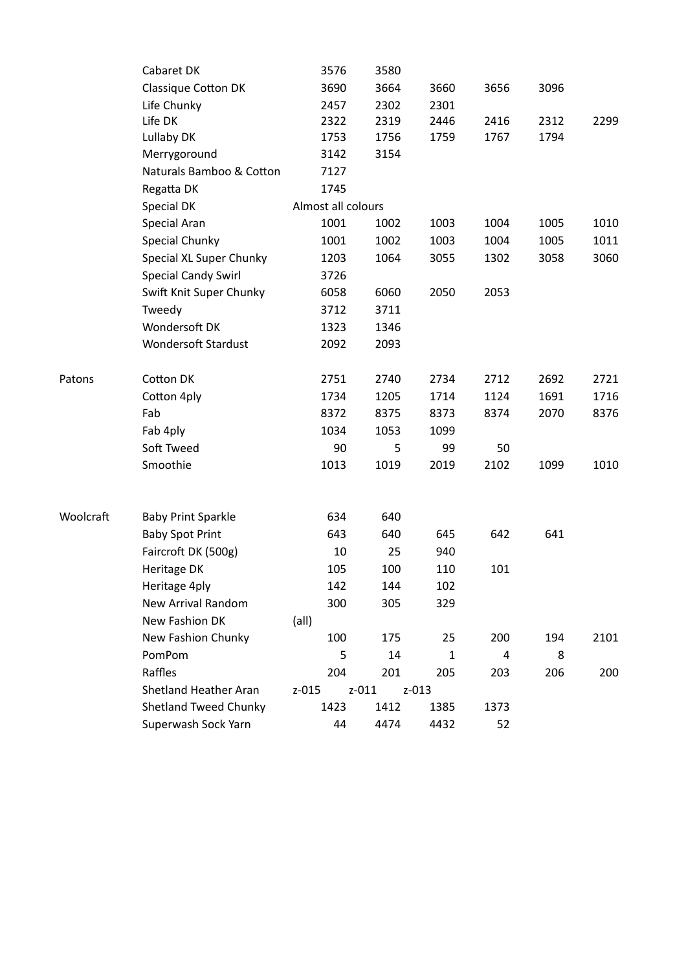|           | Cabaret DK                   | 3576               | 3580      |              |                |      |      |
|-----------|------------------------------|--------------------|-----------|--------------|----------------|------|------|
|           | Classique Cotton DK          | 3690               | 3664      | 3660         | 3656           | 3096 |      |
|           | Life Chunky                  | 2457               | 2302      | 2301         |                |      |      |
|           | Life DK                      | 2322               | 2319      | 2446         | 2416           | 2312 | 2299 |
|           | Lullaby DK                   | 1753               | 1756      | 1759         | 1767           | 1794 |      |
|           | Merrygoround                 | 3142               | 3154      |              |                |      |      |
|           | Naturals Bamboo & Cotton     | 7127               |           |              |                |      |      |
|           | Regatta DK                   | 1745               |           |              |                |      |      |
|           | Special DK                   | Almost all colours |           |              |                |      |      |
|           | Special Aran                 | 1001               | 1002      | 1003         | 1004           | 1005 | 1010 |
|           | Special Chunky               | 1001               | 1002      | 1003         | 1004           | 1005 | 1011 |
|           | Special XL Super Chunky      | 1203               | 1064      | 3055         | 1302           | 3058 | 3060 |
|           | <b>Special Candy Swirl</b>   | 3726               |           |              |                |      |      |
|           | Swift Knit Super Chunky      | 6058               | 6060      | 2050         | 2053           |      |      |
|           | Tweedy                       | 3712               | 3711      |              |                |      |      |
|           | Wondersoft DK                | 1323               | 1346      |              |                |      |      |
|           | <b>Wondersoft Stardust</b>   | 2092               | 2093      |              |                |      |      |
| Patons    | Cotton DK                    | 2751               | 2740      | 2734         | 2712           | 2692 | 2721 |
|           | Cotton 4ply                  | 1734               | 1205      | 1714         | 1124           | 1691 | 1716 |
|           | Fab                          | 8372               | 8375      | 8373         | 8374           | 2070 | 8376 |
|           | Fab 4ply                     | 1034               | 1053      | 1099         |                |      |      |
|           | Soft Tweed                   | 90                 | 5         | 99           | 50             |      |      |
|           | Smoothie                     | 1013               | 1019      | 2019         | 2102           | 1099 | 1010 |
|           |                              |                    |           |              |                |      |      |
| Woolcraft | <b>Baby Print Sparkle</b>    | 634                | 640       |              |                |      |      |
|           | <b>Baby Spot Print</b>       | 643                | 640       | 645          | 642            | 641  |      |
|           | Faircroft DK (500g)          | 10                 | 25        | 940          |                |      |      |
|           | Heritage DK                  | 105                | 100       | 110          | 101            |      |      |
|           | Heritage 4ply                | 142                | 144       | 102          |                |      |      |
|           | <b>New Arrival Random</b>    | 300                | 305       | 329          |                |      |      |
|           | New Fashion DK               | $\text{(all)}$     |           |              |                |      |      |
|           | New Fashion Chunky           | 100                | 175       | 25           | 200            | 194  | 2101 |
|           | PomPom                       | 5                  | 14        | $\mathbf{1}$ | $\overline{a}$ | 8    |      |
|           | Raffles                      | 204                | 201       | 205          | 203            | 206  | 200  |
|           | Shetland Heather Aran        | z-015              | $z - 011$ | z-013        |                |      |      |
|           | <b>Shetland Tweed Chunky</b> | 1423               | 1412      | 1385         | 1373           |      |      |
|           | Superwash Sock Yarn          | 44                 | 4474      | 4432         | 52             |      |      |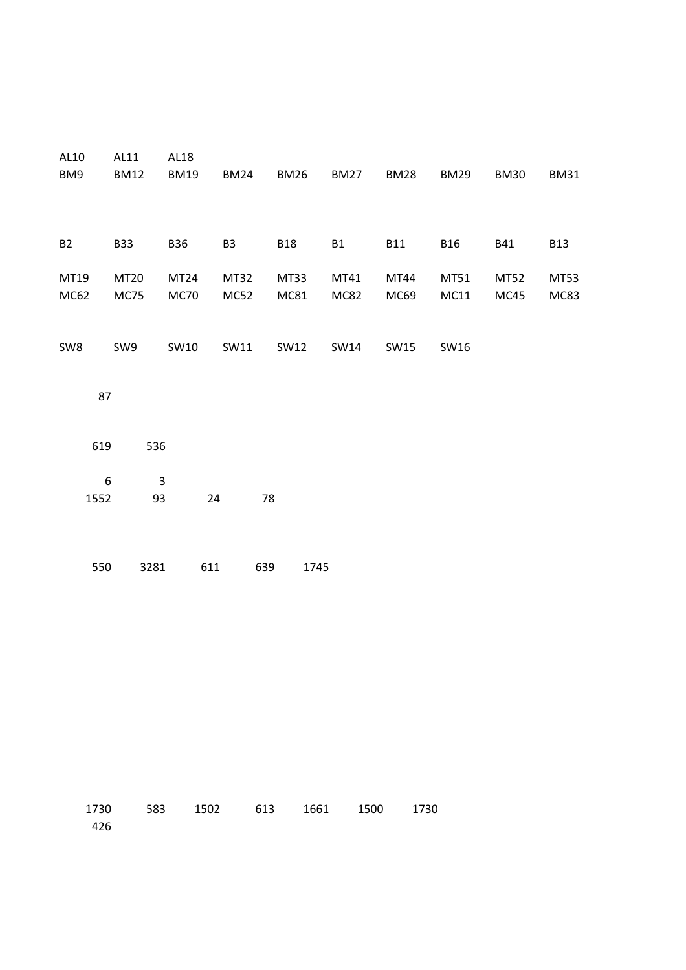| AL10<br>BM9              | AL11<br><b>BM12</b>        | AL18<br><b>BM19</b>             | <b>BM24</b>         | <b>BM26</b>  | <b>BM27</b>         | <b>BM28</b>  | <b>BM29</b>  | <b>BM30</b>  | <b>BM31</b>         |
|--------------------------|----------------------------|---------------------------------|---------------------|--------------|---------------------|--------------|--------------|--------------|---------------------|
| <b>B2</b>                | <b>B33</b>                 | <b>B36</b>                      | B <sub>3</sub>      | <b>B18</b>   | <b>B1</b>           | <b>B11</b>   | <b>B16</b>   | <b>B41</b>   | <b>B13</b>          |
| MT19<br>MC62             | <b>MT20</b><br><b>MC75</b> | MT <sub>24</sub><br><b>MC70</b> | MT32<br><b>MC52</b> | MT33<br>MC81 | MT41<br><b>MC82</b> | MT44<br>MC69 | MT51<br>MC11 | MT52<br>MC45 | MT53<br><b>MC83</b> |
| SW8                      | SW9                        | SW10                            | SW11                | SW12         | SW14                | SW15         | SW16         |              |                     |
| 87                       |                            |                                 |                     |              |                     |              |              |              |                     |
| 619                      | 536                        |                                 |                     |              |                     |              |              |              |                     |
| $\boldsymbol{6}$<br>1552 | $\overline{3}$<br>93       | 24                              | 78                  |              |                     |              |              |              |                     |
| 550                      | 3281                       | 611                             | 639                 | 1745         |                     |              |              |              |                     |

|       | 1730 583 1502 613 1661 1500 1730 |  |  |
|-------|----------------------------------|--|--|
| - 426 |                                  |  |  |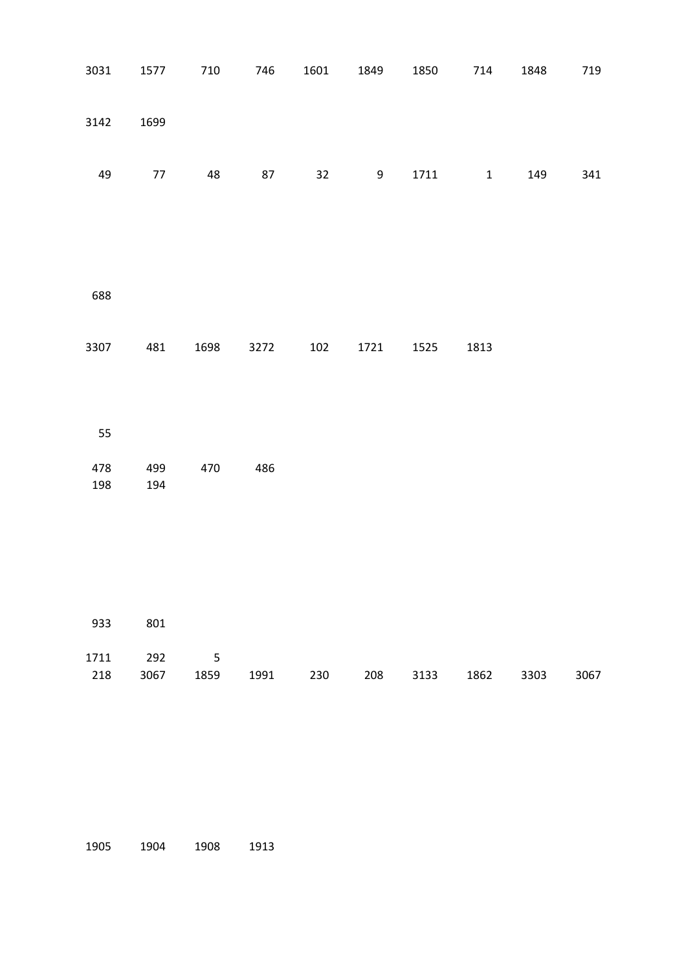| 3031       | 1577       | 710                      | 746           | 1601 | 1849 | 1850 | 714                | 1848 | 719  |
|------------|------------|--------------------------|---------------|------|------|------|--------------------|------|------|
| 3142       | 1699       |                          |               |      |      |      |                    |      |      |
| 49         | $77\,$     | 48                       | $87\,$        | 32   | 9    | 1711 | $\mathbf{1}$       | 149  | 341  |
|            |            |                          |               |      |      |      |                    |      |      |
| 688        |            |                          |               |      |      |      |                    |      |      |
| 3307       | 481        | 1698                     | 3272          | 102  | 1721 | 1525 | 1813               |      |      |
|            |            |                          |               |      |      |      |                    |      |      |
| 55         |            |                          |               |      |      |      |                    |      |      |
| 478<br>198 | 499<br>194 | 470                      | 486           |      |      |      |                    |      |      |
|            |            |                          |               |      |      |      |                    |      |      |
|            |            |                          |               |      |      |      |                    |      |      |
|            | 933 801    |                          |               |      |      |      |                    |      |      |
| 1711       | 292        | $\overline{\phantom{0}}$ |               |      |      |      |                    |      |      |
| 218        | 3067       |                          | 1859 1991 230 |      |      |      | 208 3133 1862 3303 |      | 3067 |
|            |            |                          |               |      |      |      |                    |      |      |

1904 1908 1913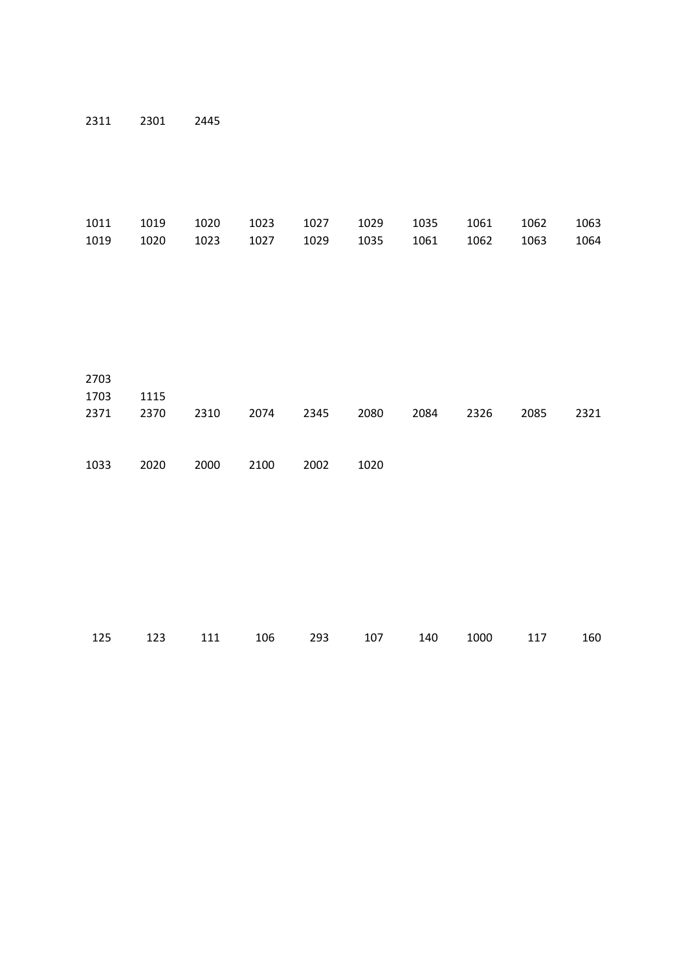2301 2445

|  |  |  |  | 1011 1019 1020 1023 1027 1029 1035 1061 1062 1063 |  |
|--|--|--|--|---------------------------------------------------|--|
|  |  |  |  | 1019 1020 1023 1027 1029 1035 1061 1062 1063 1064 |  |

| 2703<br>1703 | 1115 |      |      |      |      |      |      |      |      |
|--------------|------|------|------|------|------|------|------|------|------|
| 2371         | 2370 | 2310 | 2074 | 2345 | 2080 | 2084 | 2326 | 2085 | 2321 |
| 1033         | 2020 | 2000 | 2100 | 2002 | 1020 |      |      |      |      |

|  |  |  | 125 123 111 106 293 107 140 1000 117 160 |  |
|--|--|--|------------------------------------------|--|
|  |  |  |                                          |  |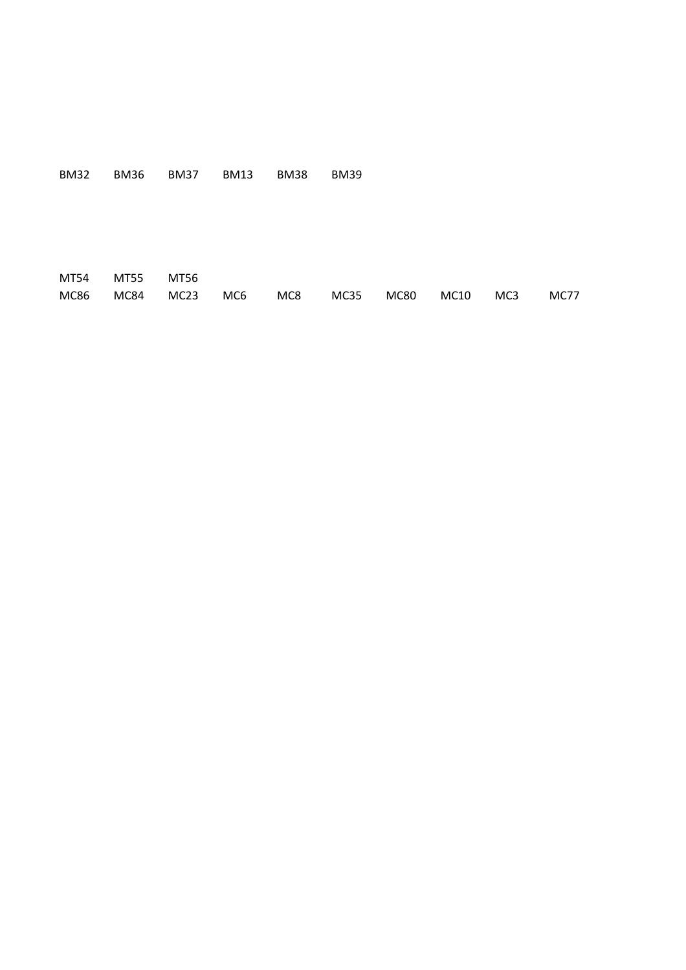BM32 BM36 BM37 BM13 BM38 BM39

MT54 MT55 MT56 MC86 MC84 MC23 MC6 MC8 MC35 MC80 MC10 MC3 MC77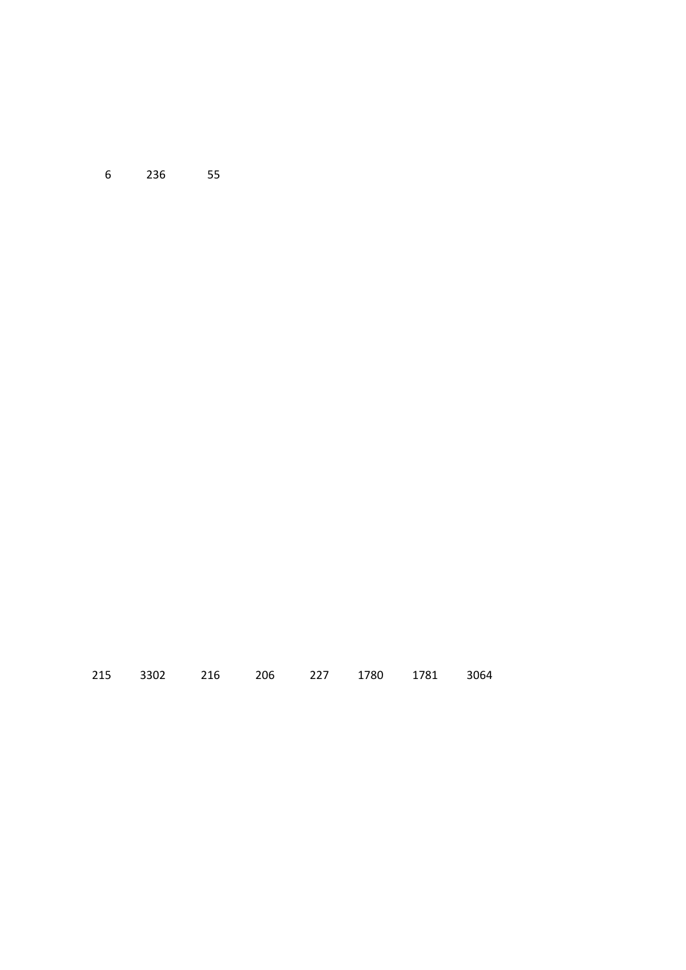236 55

| 215 3302 216 206 227 1780 1781 3064 |  |  |  |
|-------------------------------------|--|--|--|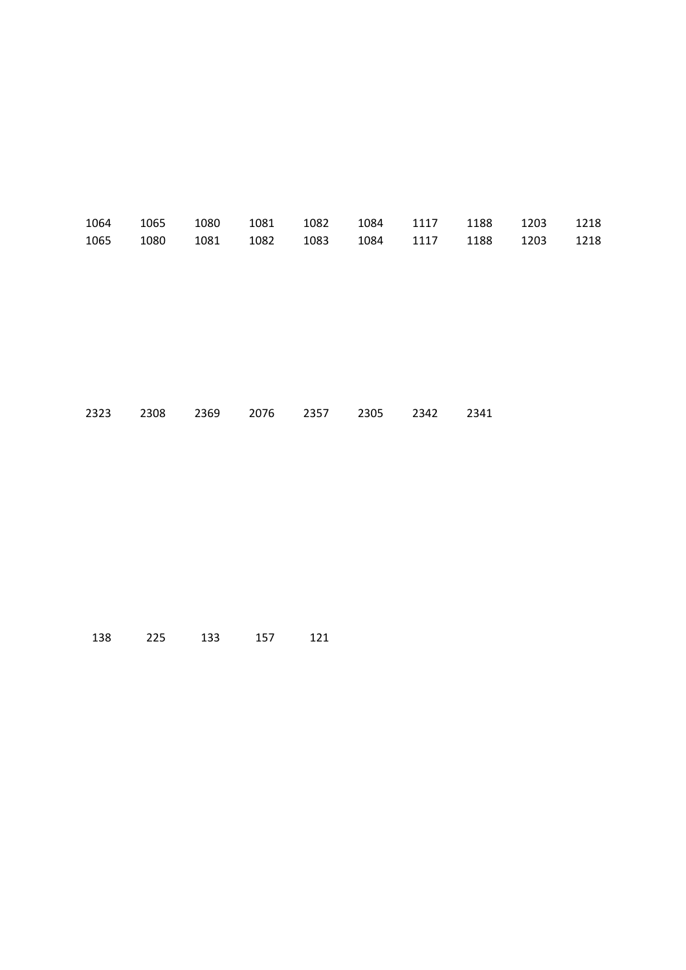|  |  |  |  | 1064 1065 1080 1081 1082 1084 1117 1188 1203 1218 |  |
|--|--|--|--|---------------------------------------------------|--|
|  |  |  |  | 1065 1080 1081 1082 1083 1084 1117 1188 1203 1218 |  |

|  |  | 2323 2308 2369 2076 2357 2305 2342 2341 |  |  |
|--|--|-----------------------------------------|--|--|
|  |  |                                         |  |  |

| 138 | 225 | 133 | 157 | 121 |
|-----|-----|-----|-----|-----|
|-----|-----|-----|-----|-----|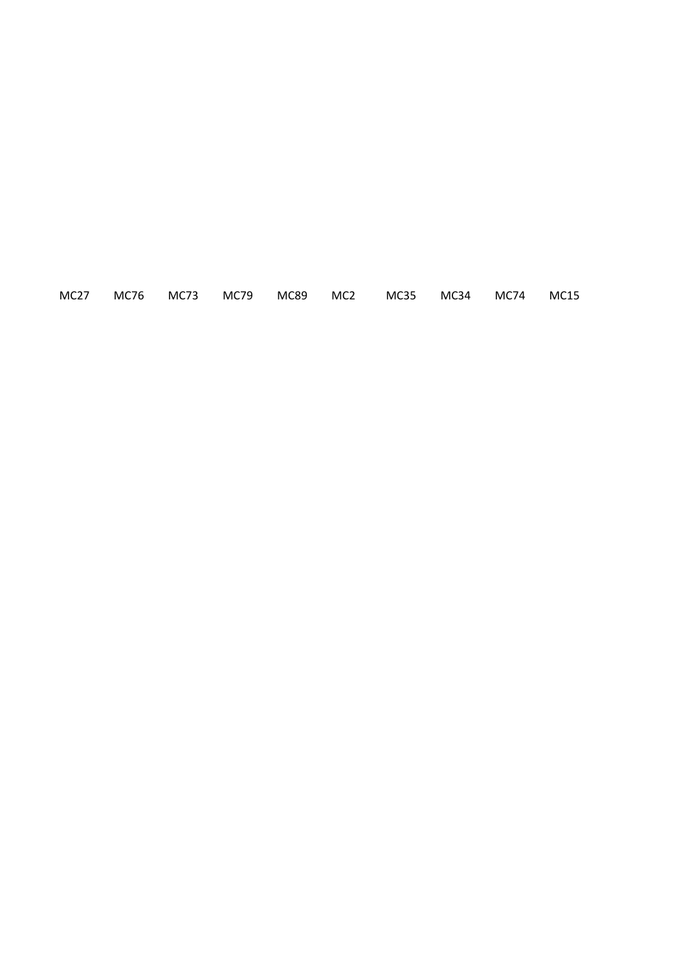MC27 MC76 MC73 MC79 MC89 MC2 MC35 MC34 MC74 MC15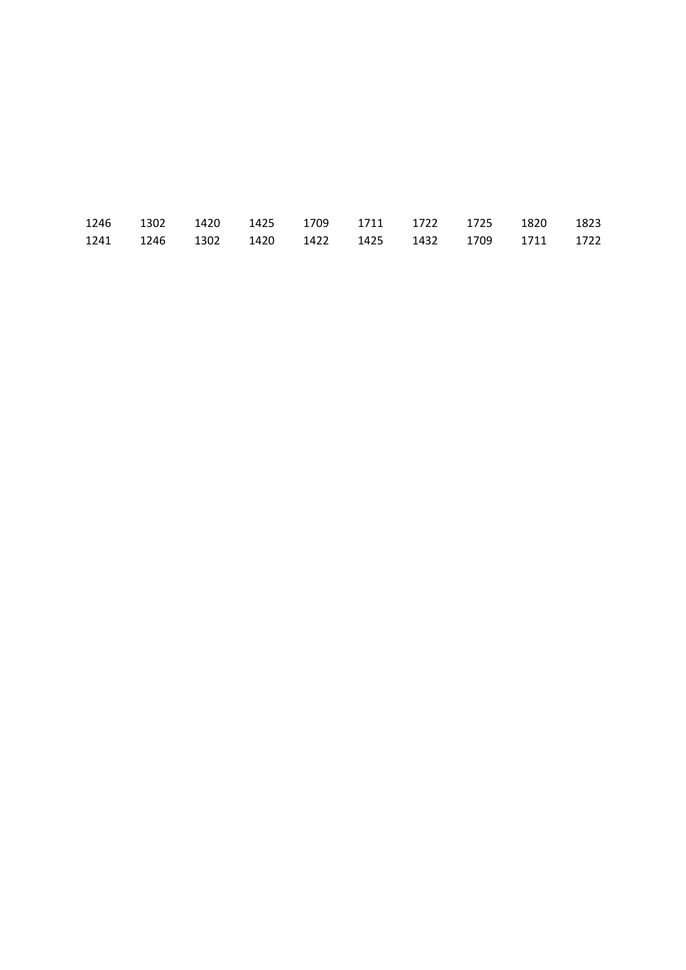|  |  |  |  | 1246 1302 1420 1425 1709 1711 1722 1725 1820 1823 |  |
|--|--|--|--|---------------------------------------------------|--|
|  |  |  |  | 1241 1246 1302 1420 1422 1425 1432 1709 1711 1722 |  |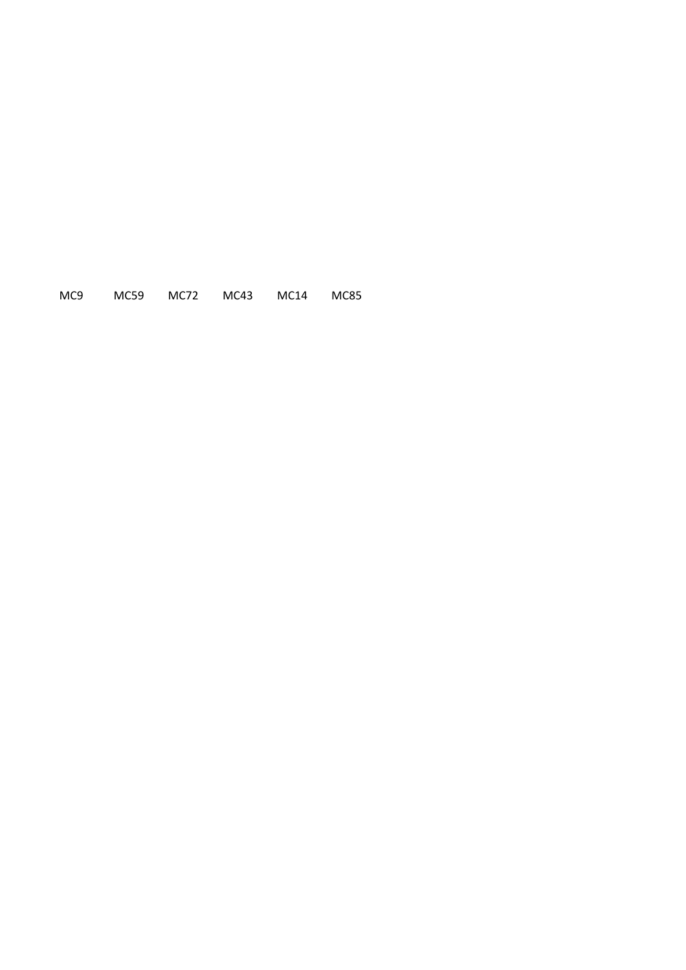MC9 MC59 MC72 MC43 MC14 MC85